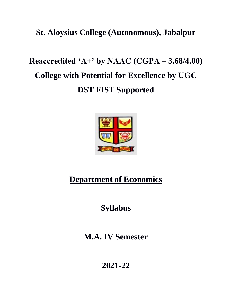# **St. Aloysius College (Autonomous), Jabalpur**

# **Reaccredited 'A+' by NAAC (CGPA – 3.68/4.00) College with Potential for Excellence by UGC DST FIST Supported**



# **Department of Economics**

# **Syllabus**

# **M.A. IV Semester**

**2021-22**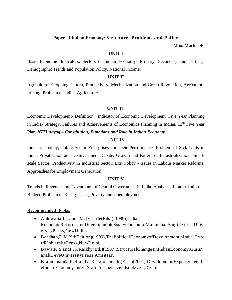### **Paper - I Indian Economy: Structure, Problems and Policy**

**Max. Marks: 40**

#### **UNIT I**

Basic Economic Indicators, Sectors of Indian Economy- Primary, Secondary and Tertiary, Demographic Trends and Population Policy, National Income.

### **UNIT II**

Agriculture- Cropping Pattern, Productivity, Mechanization and Green Revolution, Agriculture Pricing, Problem of Indian Agriculture.

## **UNIT III**

Economic Development- Definition, Indicator of Economic Development, Five Year Planning in India- Strategy, Failures and Achievements of Economics Planning in Indian, 12<sup>th</sup> Five Year Plan, *NITI Aayog – Constitution, Functions and Role in Indian Economy.*

## **UNIT IV**

Industrial policy; Public Sector Enterprises and their Performance; Problem of Sick Units in India; Privatisation and Disinvestment Debate; Growth and Pattern of Industrialization; Smallscale Sector; Productivity in Industrial Sector; Exit Policy - Issues in Labour Market Reforms; Approaches for Employment Generation

#### **UNIT V**

Trends in Revenue and Expenditure of Central Government in India, Analysis of Latest Union Budget, Problem of Rising Prices, Poverty and Unemployment.

- Ahluwalia,I.J.andI.M.D.Little(Eds.)(1999),India's EconomicReformsandDevelopment(EssayinhonourofManmohanSing),OxfordUniv ersityPress,NewDelhi.
- Bardhan,P.K.(9thEdition)(1999),ThePoliticalEconomyofDevelopmentinIndia ,Oxfo rdUniversityPress,NewDelhi.
- Bawa,R.S.andP.S.Raikhy(Ed.)(1997),StructuralChangesinIndianEconomy,GuruN anakDeveUniversityPress,Amritsar.
- Brahmananda, P.R.and V.R. Panchmukhi (Eds.) (2001), Development Experience in the eIndianEconomy:Inter-StatePerspectives,Bookwell,Delhi.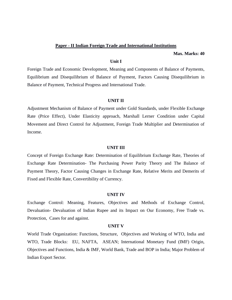#### **Paper - II Indian Foreign Trade and International Institutions**

**Max. Marks: 40**

#### **Unit I**

Foreign Trade and Economic Development, Meaning and Components of Balance of Payments, Equilibrium and Disequilibrium of Balance of Payment, Factors Causing Disequilibrium in Balance of Payment, Technical Progress and International Trade.

#### **UNIT II**

Adjustment Mechanism of Balance of Payment under Gold Standards, under Flexible Exchange Rate (Price Effect), Under Elasticity approach, Marshall Lerner Condition under Capital Movement and Direct Control for Adjustment, Foreign Trade Multiplier and Determination of Income.

#### **UNIT III**

Concept of Foreign Exchange Rate: Determination of Equilibrium Exchange Rate, Theories of Exchange Rate Determination- The Purchasing Power Parity Theory and The Balance of Payment Theory, Factor Causing Changes in Exchange Rate, Relative Merits and Demerits of Fixed and Flexible Rate, Convertibility of Currency.

#### **UNIT IV**

Exchange Control: Meaning, Features, Objectives and Methods of Exchange Control, Devaluation- Devaluation of Indian Rupee and its Impact on Our Economy, Free Trade vs. Protection, Cases for and against.

#### **UNIT V**

World Trade Organization: Functions, Structure, Objectives and Working of WTO, India and WTO, Trade Blocks: EU, NAFTA, ASEAN; International Monetary Fund (IMF) Origin, Objectives and Functions, India & IMF, World Bank, Trade and BOP in India; Major Problem of Indian Export Sector.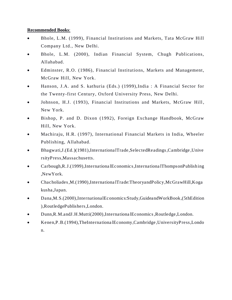- Bhole, L.M. (1999), Financial Institutions and Markets, Tata McGraw Hill Company Ltd., New Delhi.
- Bhole, L.M. (2000), Indian Financial System, Chugh Publications, Allahabad.
- Edminster, R.O. (1986), Financial Institutions, Markets and Management, McGraw Hill, New York.
- Hanson, J.A. and S. kathuria (Eds.) (1999),India : A Financial Sector for the Twenty-first Century, Oxford University Press, New Delhi.
- Johnson, H.J. (1993), Financial Institutions and Markets, McGraw Hill, New York.
- Bishop, P. and D. Dixon (1992), Foreign Exchange Handbook, McGraw Hill, New York.
- Machiraju, H.R. (1997), International Financial Markets in India, Wheeler Publishing, Allahabad.
- Bhagwati,J.(Ed.)(1981),Internationa lTrade,SelectedReadings,Cambridge ,Unive rsityPress,Massachusetts.
- Carbough,R.J.(1999),Internationa lEconomics,Internationa lThompsonPublishing ,NewYork.
- Chacholiades,M.(1990),Internationa lTrade:TheoryandPolicy,McGrawHill,Koga kusha,Japan.
- Dana,M.S.(2000),InternationalEconomics:Study,GuideandWorkBook,(5thEdition ),RoutledgePublishers,London.
- Dunn,R.M.andJ.H.Mutti(2000),Internationa lEconomics,Routledge,London.
- Kenen,P.B.(1994),TheInternationa lEconomy,Cambridge ,UniversityPress,Londo n.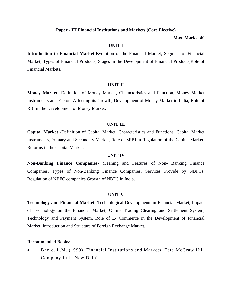#### **Paper - III Financial Institutions and Markets (Core Elective)**

#### **Max. Marks: 40**

#### **UNIT I**

**Introduction to Financial Market-E**volution of the Financial Market, Segment of Financial Market, Types of Financial Products, Stages in the Development of Financial Products,Role of Financial Markets.

#### **UNIT II**

**Money Market-** Definition of Money Market, Characteristics and Function, Money Market Instruments and Factors Affecting its Growth, Development of Money Market in India, Role of RBI in the Development of Money Market.

#### **UNIT III**

**Capital Market -**Definition of Capital Market, Characteristics and Functions, Capital Market Instruments, Primary and Secondary Market, Role of SEBI in Regulation of the Capital Market, Reforms in the Capital Market.

#### **UNIT IV**

**Non-Banking Finance Companies-** Meaning and Features of Non- Banking Finance Companies, Types of Non-Banking Finance Companies, Services Provide by NBFCs, Regulation of NBFC companies Growth of NBFC in India.

#### **UNIT V**

**Technology and Financial Market**- Technological Developments in Financial Market, Impact of Technology on the Financial Market, Online Trading Clearing and Settlement System, Technology and Payment System, Role of E- Commerce in the Development of Financial Market, Introduction and Structure of Foreign Exchange Market.

#### **Recommended Books**:

• Bhole, L.M. (1999), Financial Institutions and Markets, Tata McGraw Hill Company Ltd., New Delhi.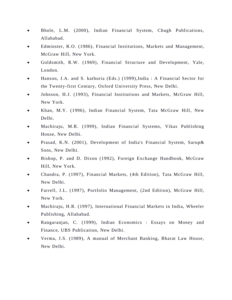- Bhole, L.M. (2000), Indian Financial System, Chugh Publications, Allahabad.
- Edminster, R.O. (1986), Financial Institutions, Markets and Management, McGraw Hill, New York.
- Goldsmith, R.W. (1969), Financial Structure and Development, Yale, London.
- Hanson, J.A. and S. kathuria (Eds.) (1999),India : A Financial Sector for the Twenty-first Century, Oxford University Press, New Delhi.
- Johnson, H.J. (1993), Financial Institutions and Markets, McGraw Hill, New York.
- Khan, M.Y. (1996), Indian Financial System, Tata McGraw Hill, New Delhi.
- Machiraju, M.R. (1999), Indian Financial Systems, Vikas Publishing House, New Delhi.
- Prasad, K.N. (2001), Development of India's Financial System, Sarup& Sons, New Delhi.
- Bishop, P. and D. Dixon (1992), Foreign Exchange Handbook, McGraw Hill, New York.
- Chandra, P. (1997), Financial Markets, (4th Edition), Tata McGraw Hill, New Delhi.
- Farrell, J.L. (1997), Portfolio Management, (2nd Edition), McGraw Hill, New York.
- Machiraju, H.R. (1997), International Financial Markets in India, Wheeler Publishing, Allahabad.
- Rangaranjan, C. (1999), Indian Economics : Essays on Money and Finance, UBS Publication, New Delhi.
- Verma, J.S. (1989), A manual of Merchant Banking, Bharat Law House, New Delhi.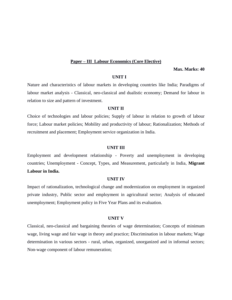#### **Paper – III Labour Economics (Core Elective)**

#### **Max. Marks: 40**

#### **UNIT I**

Nature and characteristics of labour markets in developing countries like India; Paradigms of labour market analysis - Classical, neo-classical and dualistic economy; Demand for labour in relation to size and pattern of investment.

#### **UNIT II**

Choice of technologies and labour policies; Supply of labour in relation to growth of labour force; Labour market policies; Mobility and productivity of labour; Rationalization; Methods of recruitment and placement; Employment service organization in India.

#### **UNIT III**

Employment and development relationship - Poverty and unemployment in developing countries; Unemployment - Concept, Types, and Measurement, particularly in India, **Migrant Labour in India.**

#### **UNIT IV**

Impact of rationalization, technological change and modernization on employment in organized private industry, Public sector and employment in agricultural sector; Analysis of educated unemployment; Employment policy in Five Year Plans and its evaluation.

#### **UNIT V**

Classical, neo-classical and bargaining theories of wage determination; Concepts of minimum wage, living wage and fair wage in theory and practice; Discrimination in labour markets; Wage determination in various sectors - rural, urban, organized, unorganized and in informal sectors; Non-wage component of labour remuneration;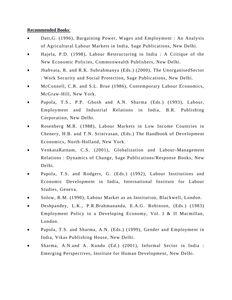- Datt,G. (1996), Bargaining Power, Wages and Employment : An Analysis of Agricultural Labour Markets in India, Sage Publications, New Delhi.
- Hajela, P.D. (1998), Labour Restructuring in India : A Critique of the New Economic Policies, Commonwealth Publishers, New Delhi.
- Jhabvata, R. and R.K. Subrahmanya (Eds.) (2000), The UnorganisedSector : Work Security and Social Protection, Sage Publications, New Delhi.
- McConnell, C.R. and S.L. Brue (1986), Contemporary Labour Economics, McGraw-Hill, New York.
- Papola, T.S., P.P. Ghosh and A.N. Sharma (Eds.) (1993), Labour, Employment and Industrial Relations in India, B.R. Publishing Corporation, New Delhi.
- Rosenberg M.R. (1988), Labour Markets in Low Income Countries in Chenery, H.B. and T.N. Srinivasan, (Eds.) The Handbook of Development Economics, North-Holland, New York.
- VenkataRatnam, C.S. (2001), Globalization and Labour-Management Relations : Dynamics of Change, Sage Publications/Response Books, New Delhi.
- Papola, T.S. and Rodgers, G. (Eds.) (1992), Labour Institutions and Economic Development in India, International Institute for Labour Studies, Geneva.
- Solow, R.M. (1990), Labour Market as an Institution, Blackwell, London.
- Deshpandey, L.K., P.R.Brahmananda, E.A.G. Robinson, (Eds.) (1983) Employment Policy in a Developing Economy, Vol. I & II Macmillan, London.
- Papola, T.S. and Sharma, A.N. (Eds.) (1999), Gender and Employment in India, Vikas Publishing House, New Delhi.
- Sharma, A.N.and A. Kundu (Ed.) (2001), Informal Sector in India : Emerging Perspectives, Institute for Human Development, New Delhi.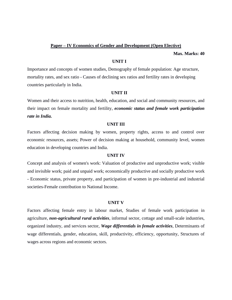#### **Paper – IV Economics of Gender and Development (Open Elective)**

**Max. Marks: 40**

#### **UNIT I**

Importance and concepts of women studies, Demography of female population: Age structure, mortality rates, and sex ratio - Causes of declining sex ratios and fertility rates in developing countries particularly in India.

#### **UNIT II**

Women and their access to nutrition, health, education, and social and community resources, and their impact on female mortality and fertility, *economic status and female work participation rate in India.* 

#### **UNIT III**

Factors affecting decision making by women, property rights, access to and control over economic resources, assets; Power of decision making at household, community level, women education in developing countries and India.

#### **UNIT IV**

Concept and analysis of women's work: Valuation of productive and unproductive work; visible and invisible work; paid and unpaid work; economically productive and socially productive work - Economic status, private property, and participation of women in pre-industrial and industrial societies-Female contribution to National Income.

#### **UNIT V**

Factors affecting female entry in labour market, Studies of female work participation in agriculture, *non-agricultural rural activities*, informal sector, cottage and small-scale industries, organized industry, and services sector, *Wage differentials in female activities*, Determinants of wage differentials, gender, education, skill, productivity, efficiency, opportunity, Structures of wages across regions and economic sectors.